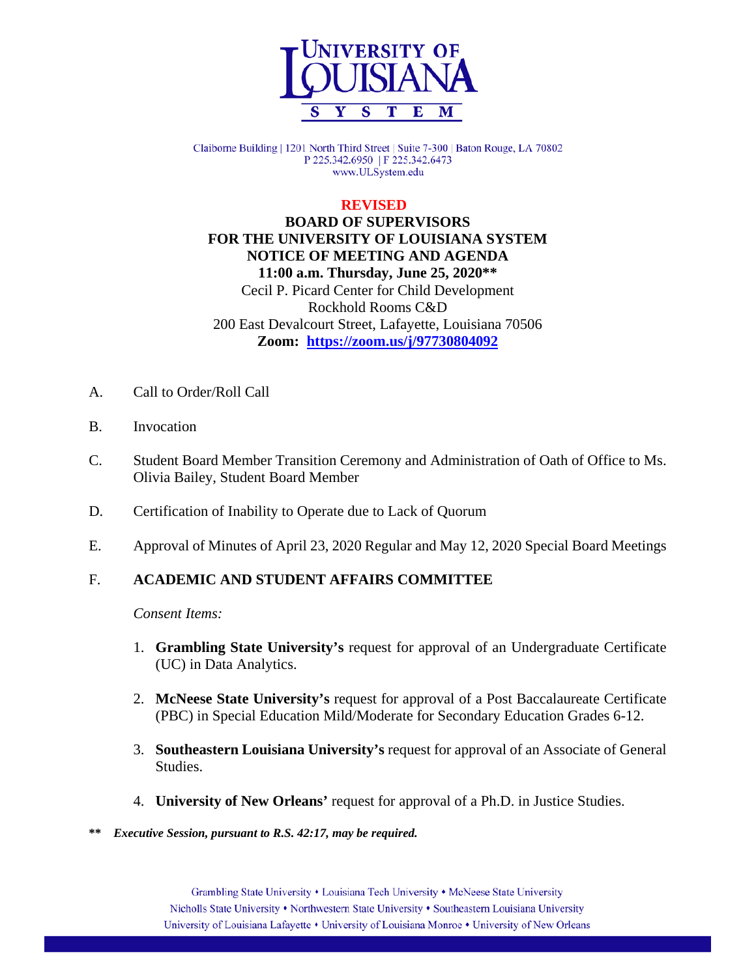

Claiborne Building | 1201 North Third Street | Suite 7-300 | Baton Rouge, LA 70802 P 225.342.6950 | F 225.342.6473 www.ULSystem.edu

#### **REVISED**

 **BOARD OF SUPERVISORS FOR THE UNIVERSITY OF LOUISIANA SYSTEM NOTICE OF MEETING AND AGENDA 11:00 a.m. Thursday, June 25, 2020\*\*** Cecil P. Picard Center for Child Development Rockhold Rooms C&D 200 East Devalcourt Street, Lafayette, Louisiana 70506 **Zoom: <https://zoom.us/j/97730804092>**

- A. Call to Order/Roll Call
- B. Invocation
- C. Student Board Member Transition Ceremony and Administration of Oath of Office to Ms. Olivia Bailey, Student Board Member
- D. Certification of Inability to Operate due to Lack of Quorum
- E. Approval of Minutes of April 23, 2020 Regular and May 12, 2020 Special Board Meetings

### F. **ACADEMIC AND STUDENT AFFAIRS COMMITTEE**

*Consent Items:*

- 1. **Grambling State University's** request for approval of an Undergraduate Certificate (UC) in Data Analytics.
- 2. **McNeese State University's** request for approval of a Post Baccalaureate Certificate (PBC) in Special Education Mild/Moderate for Secondary Education Grades 6-12.
- 3. **Southeastern Louisiana University's** request for approval of an Associate of General Studies.
- 4. **University of New Orleans'** request for approval of a Ph.D. in Justice Studies.
- **\*\*** *Executive Session, pursuant to R.S. 42:17, may be required.*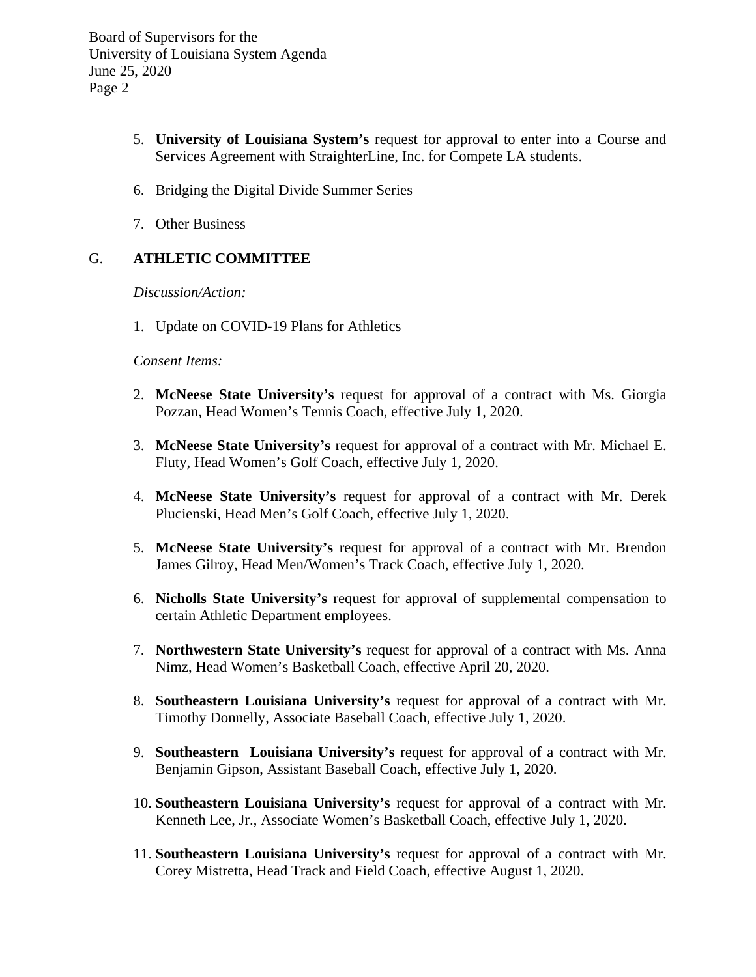- 5. **University of Louisiana System's** request for approval to enter into a Course and Services Agreement with StraighterLine, Inc. for Compete LA students.
- 6. Bridging the Digital Divide Summer Series
- 7. Other Business

# G. **ATHLETIC COMMITTEE**

*Discussion/Action:*

1. Update on COVID-19 Plans for Athletics

*Consent Items:*

- 2. **McNeese State University's** request for approval of a contract with Ms. Giorgia Pozzan, Head Women's Tennis Coach, effective July 1, 2020.
- 3. **McNeese State University's** request for approval of a contract with Mr. Michael E. Fluty, Head Women's Golf Coach, effective July 1, 2020.
- 4. **McNeese State University's** request for approval of a contract with Mr. Derek Plucienski, Head Men's Golf Coach, effective July 1, 2020.
- 5. **McNeese State University's** request for approval of a contract with Mr. Brendon James Gilroy, Head Men/Women's Track Coach, effective July 1, 2020.
- 6. **Nicholls State University's** request for approval of supplemental compensation to certain Athletic Department employees.
- 7. **Northwestern State University's** request for approval of a contract with Ms. Anna Nimz, Head Women's Basketball Coach, effective April 20, 2020.
- 8. **Southeastern Louisiana University's** request for approval of a contract with Mr. Timothy Donnelly, Associate Baseball Coach, effective July 1, 2020.
- 9. **Southeastern Louisiana University's** request for approval of a contract with Mr. Benjamin Gipson, Assistant Baseball Coach, effective July 1, 2020.
- 10. **Southeastern Louisiana University's** request for approval of a contract with Mr. Kenneth Lee, Jr., Associate Women's Basketball Coach, effective July 1, 2020.
- 11. **Southeastern Louisiana University's** request for approval of a contract with Mr. Corey Mistretta, Head Track and Field Coach, effective August 1, 2020.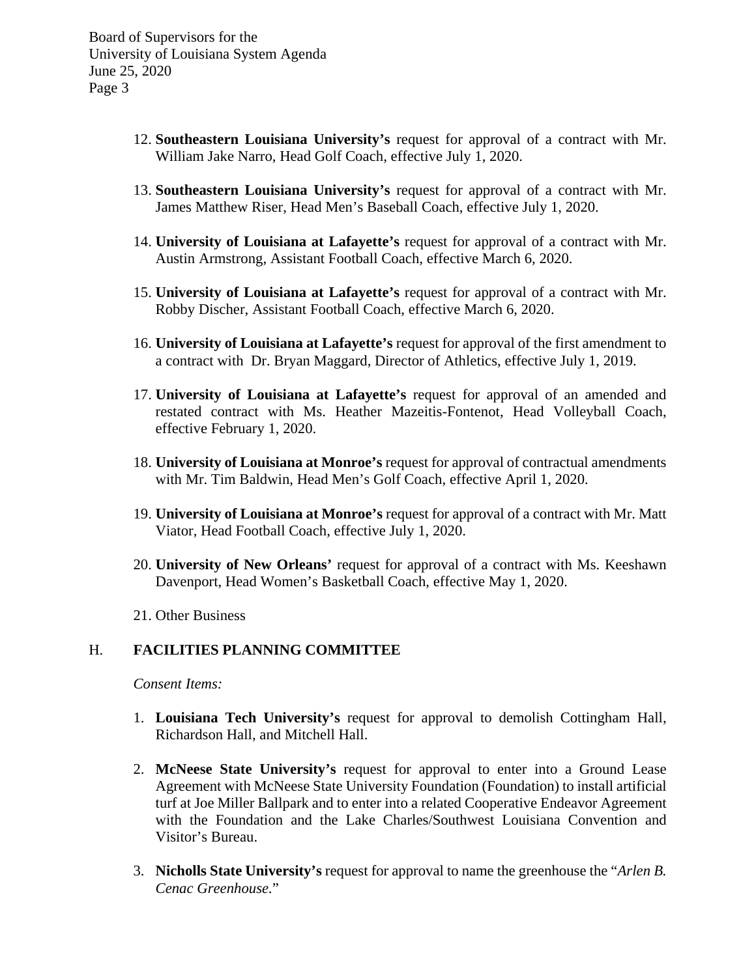- 12. **Southeastern Louisiana University's** request for approval of a contract with Mr. William Jake Narro, Head Golf Coach, effective July 1, 2020.
- 13. **Southeastern Louisiana University's** request for approval of a contract with Mr. James Matthew Riser, Head Men's Baseball Coach, effective July 1, 2020.
- 14. **University of Louisiana at Lafayette's** request for approval of a contract with Mr. Austin Armstrong, Assistant Football Coach, effective March 6, 2020.
- 15. **University of Louisiana at Lafayette's** request for approval of a contract with Mr. Robby Discher, Assistant Football Coach, effective March 6, 2020.
- 16. **University of Louisiana at Lafayette's** request for approval of the first amendment to a contract with Dr. Bryan Maggard, Director of Athletics, effective July 1, 2019.
- 17. **University of Louisiana at Lafayette's** request for approval of an amended and restated contract with Ms. Heather Mazeitis-Fontenot, Head Volleyball Coach, effective February 1, 2020.
- 18. **University of Louisiana at Monroe's** request for approval of contractual amendments with Mr. Tim Baldwin, Head Men's Golf Coach, effective April 1, 2020.
- 19. **University of Louisiana at Monroe's** request for approval of a contract with Mr. Matt Viator, Head Football Coach, effective July 1, 2020.
- 20. **University of New Orleans'** request for approval of a contract with Ms. Keeshawn Davenport, Head Women's Basketball Coach, effective May 1, 2020.
- 21. Other Business

#### H. **FACILITIES PLANNING COMMITTEE**

*Consent Items:*

- 1. **Louisiana Tech University's** request for approval to demolish Cottingham Hall, Richardson Hall, and Mitchell Hall.
- 2. **McNeese State University's** request for approval to enter into a Ground Lease Agreement with McNeese State University Foundation (Foundation) to install artificial turf at Joe Miller Ballpark and to enter into a related Cooperative Endeavor Agreement with the Foundation and the Lake Charles/Southwest Louisiana Convention and Visitor's Bureau.
- 3. **Nicholls State University's** request for approval to name the greenhouse the "*Arlen B. Cenac Greenhouse.*"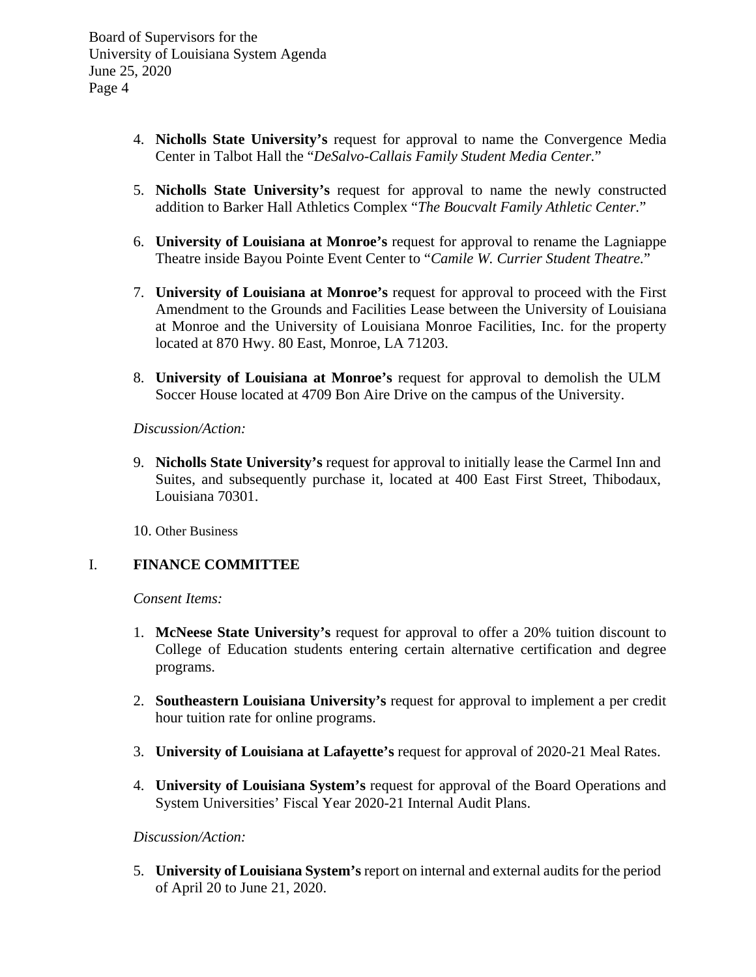- 4. **Nicholls State University's** request for approval to name the Convergence Media Center in Talbot Hall the "*DeSalvo-Callais Family Student Media Center.*"
- 5. **Nicholls State University's** request for approval to name the newly constructed addition to Barker Hall Athletics Complex "*The Boucvalt Family Athletic Center.*"
- 6. **University of Louisiana at Monroe's** request for approval to rename the Lagniappe Theatre inside Bayou Pointe Event Center to "*Camile W. Currier Student Theatre.*"
- 7. **University of Louisiana at Monroe's** request for approval to proceed with the First Amendment to the Grounds and Facilities Lease between the University of Louisiana at Monroe and the University of Louisiana Monroe Facilities, Inc. for the property located at 870 Hwy. 80 East, Monroe, LA 71203.
- 8. **University of Louisiana at Monroe's** request for approval to demolish the ULM Soccer House located at 4709 Bon Aire Drive on the campus of the University.

*Discussion/Action:*

9. **Nicholls State University's** request for approval to initially lease the Carmel Inn and Suites, and subsequently purchase it, located at 400 East First Street, Thibodaux, Louisiana 70301.

10. Other Business

#### I. **FINANCE COMMITTEE**

*Consent Items:*

- 1. **McNeese State University's** request for approval to offer a 20% tuition discount to College of Education students entering certain alternative certification and degree programs.
- 2. **Southeastern Louisiana University's** request for approval to implement a per credit hour tuition rate for online programs.
- 3. **University of Louisiana at Lafayette's** request for approval of 2020-21 Meal Rates.
- 4. **University of Louisiana System's** request for approval of the Board Operations and System Universities' Fiscal Year 2020-21 Internal Audit Plans.

### *Discussion/Action:*

5. **University of Louisiana System's** report on internal and external audits for the period of April 20 to June 21, 2020.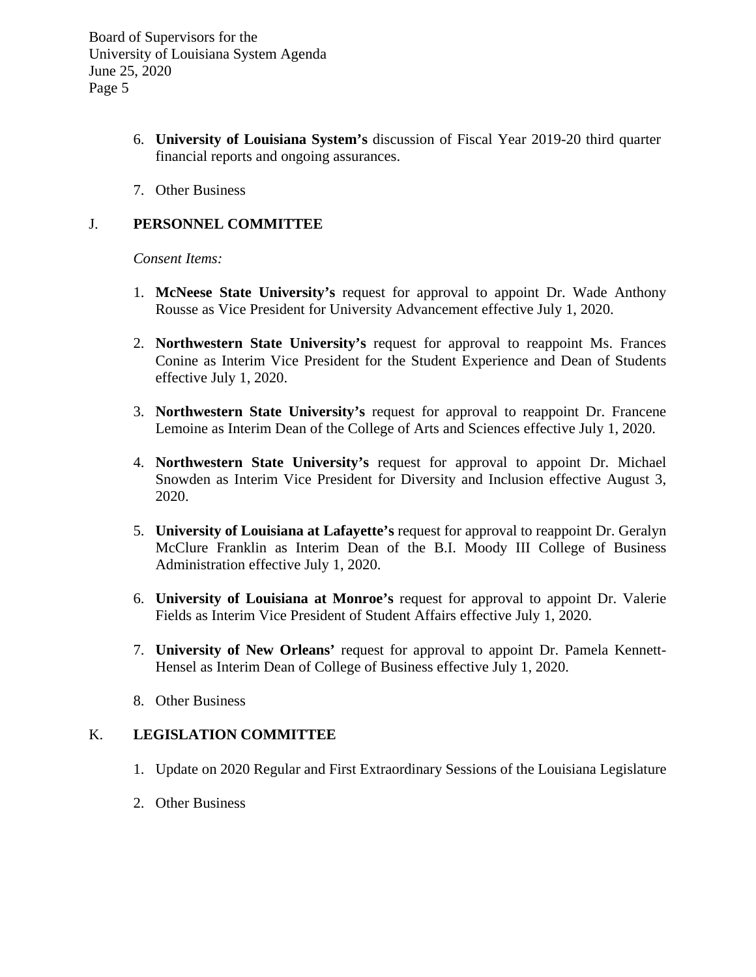- 6. **University of Louisiana System's** discussion of Fiscal Year 2019-20 third quarter financial reports and ongoing assurances.
- 7. Other Business

### J. **PERSONNEL COMMITTEE**

*Consent Items:*

- 1. **McNeese State University's** request for approval to appoint Dr. Wade Anthony Rousse as Vice President for University Advancement effective July 1, 2020.
- 2. **Northwestern State University's** request for approval to reappoint Ms. Frances Conine as Interim Vice President for the Student Experience and Dean of Students effective July 1, 2020.
- 3. **Northwestern State University's** request for approval to reappoint Dr. Francene Lemoine as Interim Dean of the College of Arts and Sciences effective July 1, 2020.
- 4. **Northwestern State University's** request for approval to appoint Dr. Michael Snowden as Interim Vice President for Diversity and Inclusion effective August 3, 2020.
- 5. **University of Louisiana at Lafayette's** request for approval to reappoint Dr. Geralyn McClure Franklin as Interim Dean of the B.I. Moody III College of Business Administration effective July 1, 2020.
- 6. **University of Louisiana at Monroe's** request for approval to appoint Dr. Valerie Fields as Interim Vice President of Student Affairs effective July 1, 2020.
- 7. **University of New Orleans'** request for approval to appoint Dr. Pamela Kennett-Hensel as Interim Dean of College of Business effective July 1, 2020.
- 8. Other Business

# K. **LEGISLATION COMMITTEE**

- 1. Update on 2020 Regular and First Extraordinary Sessions of the Louisiana Legislature
- 2. Other Business